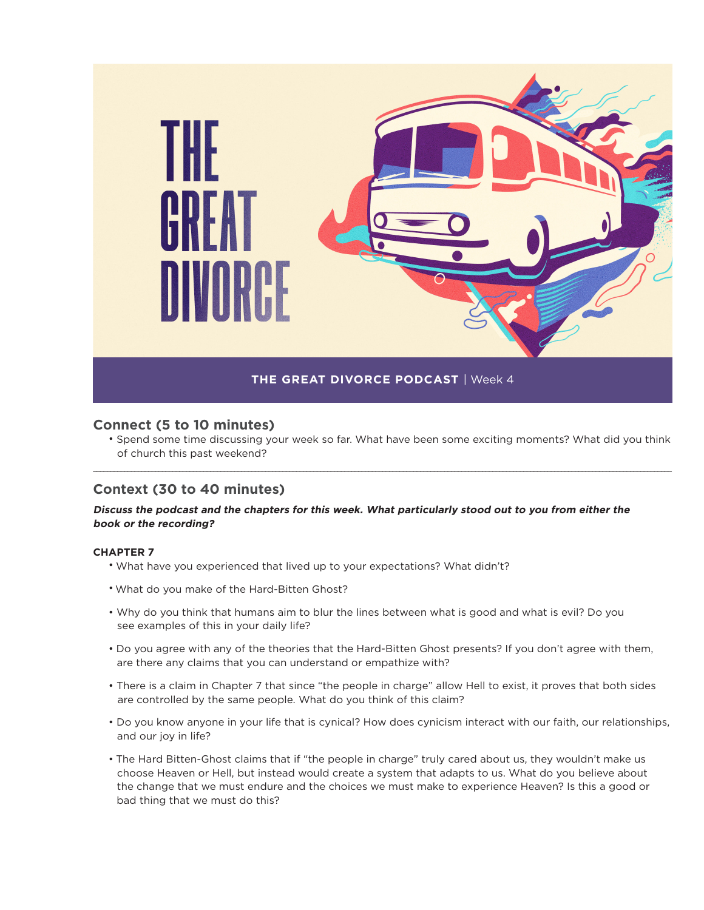

# **Connect (5 to 10 minutes)**

• Spend some time discussing your week so far. What have been some exciting moments? What did you think of church this past weekend?

\_\_\_\_\_\_\_\_\_\_\_\_\_\_\_\_\_\_\_\_\_\_\_\_\_\_\_\_\_\_\_\_\_\_\_\_\_\_\_\_\_\_\_\_\_\_\_\_\_\_\_\_\_\_\_\_\_\_\_\_\_\_\_\_\_\_\_\_\_\_\_\_\_\_\_\_\_\_\_\_\_\_\_\_\_\_\_\_\_\_\_\_\_\_\_\_\_\_\_\_\_\_\_\_\_\_\_\_\_\_\_\_\_\_\_\_\_\_\_\_\_\_\_\_\_\_\_\_\_\_\_\_\_\_\_\_\_\_\_\_\_\_\_\_\_\_\_\_\_\_\_\_\_\_\_\_\_\_\_\_\_\_\_\_\_\_\_\_

# **Context (30 to 40 minutes)**

# **Discuss the podcast and the chapters for this week. What particularly stood out to you from either the book or the recording?**

### **CHAPTER 7**

- What have you experienced that lived up to your expectations? What didn't?
- What do you make of the Hard-Bitten Ghost?
- Why do you think that humans aim to blur the lines between what is good and what is evil? Do you see examples of this in your daily life?
- Do you agree with any of the theories that the Hard-Bitten Ghost presents? If you don't agree with them, are there any claims that you can understand or empathize with?
- There is a claim in Chapter 7 that since "the people in charge" allow Hell to exist, it proves that both sides are controlled by the same people. What do you think of this claim?
- Do you know anyone in your life that is cynical? How does cynicism interact with our faith, our relationships, and our joy in life?
- The Hard Bitten-Ghost claims that if "the people in charge" truly cared about us, they wouldn't make us choose Heaven or Hell, but instead would create a system that adapts to us. What do you believe about the change that we must endure and the choices we must make to experience Heaven? Is this a good or bad thing that we must do this?